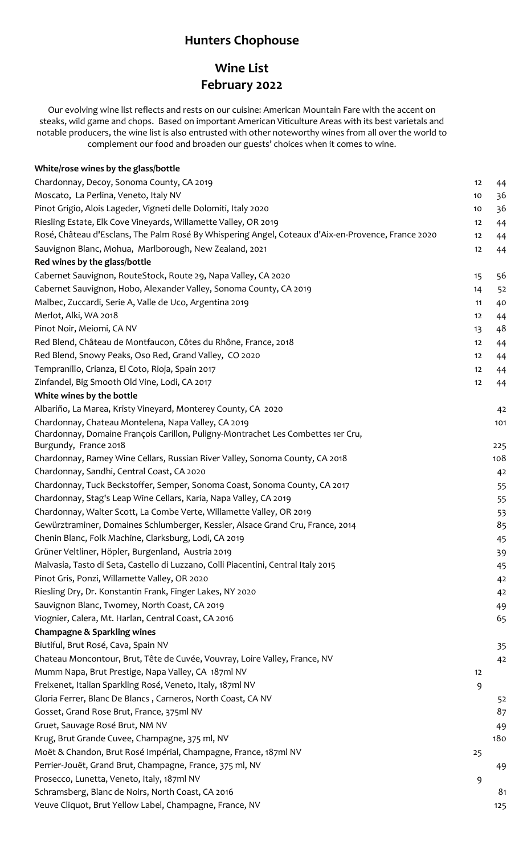## **Hunters Chophouse**

## **Wine List February 2022**

Our evolving wine list reflects and rests on our cuisine: American Mountain Fare with the accent on steaks, wild game and chops. Based on important American Viticulture Areas with its best varietals and notable producers, the wine list is also entrusted with other noteworthy wines from all over the world to complement our food and broaden our guests' choices when it comes to wine.

| White/rose wines by the glass/bottle                                                                      |    |                |
|-----------------------------------------------------------------------------------------------------------|----|----------------|
| Chardonnay, Decoy, Sonoma County, CA 2019                                                                 | 12 | 44             |
| Moscato, La Perlina, Veneto, Italy NV                                                                     | 10 | 36             |
| Pinot Grigio, Alois Lageder, Vigneti delle Dolomiti, Italy 2020                                           | 10 | 36             |
| Riesling Estate, Elk Cove Vineyards, Willamette Valley, OR 2019                                           | 12 | 44             |
| Rosé, Château d'Esclans, The Palm Rosé By Whispering Angel, Coteaux d'Aix-en-Provence, France 2020        | 12 | 44             |
| Sauvignon Blanc, Mohua, Marlborough, New Zealand, 2021                                                    | 12 | 44             |
| Red wines by the glass/bottle                                                                             |    |                |
| Cabernet Sauvignon, RouteStock, Route 29, Napa Valley, CA 2020                                            | 15 | 56             |
| Cabernet Sauvignon, Hobo, Alexander Valley, Sonoma County, CA 2019                                        |    |                |
|                                                                                                           | 14 | 52             |
| Malbec, Zuccardi, Serie A, Valle de Uco, Argentina 2019<br>Merlot, Alki, WA 2018                          | 11 | 40             |
|                                                                                                           | 12 | 44             |
| Pinot Noir, Meiomi, CA NV                                                                                 | 13 | 48             |
| Red Blend, Château de Montfaucon, Côtes du Rhône, France, 2018                                            | 12 | 44             |
| Red Blend, Snowy Peaks, Oso Red, Grand Valley, CO 2020                                                    | 12 | 44             |
| Tempranillo, Crianza, El Coto, Rioja, Spain 2017                                                          | 12 | 44             |
| Zinfandel, Big Smooth Old Vine, Lodi, CA 2017                                                             | 12 | 44             |
| White wines by the bottle                                                                                 |    |                |
| Albariño, La Marea, Kristy Vineyard, Monterey County, CA 2020                                             |    | 42             |
| Chardonnay, Chateau Montelena, Napa Valley, CA 2019                                                       |    | 101            |
| Chardonnay, Domaine François Carillon, Puligny-Montrachet Les Combettes 1er Cru,<br>Burgundy, France 2018 |    |                |
| Chardonnay, Ramey Wine Cellars, Russian River Valley, Sonoma County, CA 2018                              |    | 225<br>108     |
| Chardonnay, Sandhi, Central Coast, CA 2020                                                                |    |                |
| Chardonnay, Tuck Beckstoffer, Semper, Sonoma Coast, Sonoma County, CA 2017                                |    | 42             |
| Chardonnay, Stag's Leap Wine Cellars, Karia, Napa Valley, CA 2019                                         |    | 55             |
|                                                                                                           |    | 55             |
| Chardonnay, Walter Scott, La Combe Verte, Willamette Valley, OR 2019                                      |    | 53             |
| Gewürztraminer, Domaines Schlumberger, Kessler, Alsace Grand Cru, France, 2014                            |    | 85             |
| Chenin Blanc, Folk Machine, Clarksburg, Lodi, CA 2019                                                     |    | 45             |
| Grüner Veltliner, Höpler, Burgenland, Austria 2019                                                        |    | 39             |
| Malvasia, Tasto di Seta, Castello di Luzzano, Colli Piacentini, Central Italy 2015                        |    | 45             |
| Pinot Gris, Ponzi, Willamette Valley, OR 2020                                                             |    | 4 <sup>2</sup> |
| Riesling Dry, Dr. Konstantin Frank, Finger Lakes, NY 2020                                                 |    | 42             |
| Sauvignon Blanc, Twomey, North Coast, CA 2019                                                             |    | 49             |
| Viognier, Calera, Mt. Harlan, Central Coast, CA 2016                                                      |    | 65             |
| <b>Champagne &amp; Sparkling wines</b>                                                                    |    |                |
| Biutiful, Brut Rosé, Cava, Spain NV                                                                       |    | 35             |
| Chateau Moncontour, Brut, Tête de Cuvée, Vouvray, Loire Valley, France, NV                                |    | 42             |
| Mumm Napa, Brut Prestige, Napa Valley, CA 187ml NV                                                        | 12 |                |
| Freixenet, Italian Sparkling Rosé, Veneto, Italy, 187ml NV                                                | 9  |                |
| Gloria Ferrer, Blanc De Blancs, Carneros, North Coast, CA NV                                              |    | 52             |
| Gosset, Grand Rose Brut, France, 375ml NV                                                                 |    | 87             |
| Gruet, Sauvage Rosé Brut, NM NV                                                                           |    | 49             |
| Krug, Brut Grande Cuvee, Champagne, 375 ml, NV                                                            |    | 180            |
| Moët & Chandon, Brut Rosé Impérial, Champagne, France, 187ml NV                                           | 25 |                |
| Perrier-Jouët, Grand Brut, Champagne, France, 375 ml, NV                                                  |    | 49             |
| Prosecco, Lunetta, Veneto, Italy, 187ml NV                                                                | 9  |                |
| Schramsberg, Blanc de Noirs, North Coast, CA 2016                                                         |    | 8 <sub>1</sub> |
| Veuve Cliquot, Brut Yellow Label, Champagne, France, NV                                                   |    | 125            |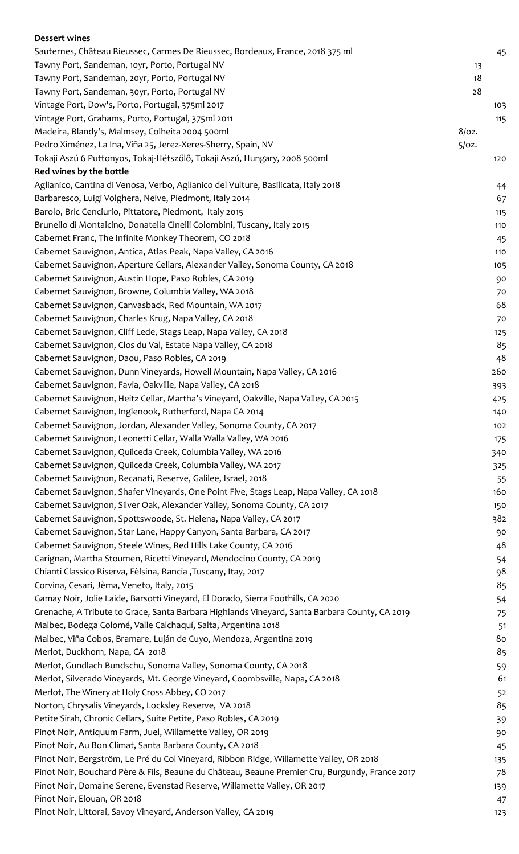| <b>Dessert wines</b>                                                                           |          |     |
|------------------------------------------------------------------------------------------------|----------|-----|
| Sauternes, Château Rieussec, Carmes De Rieussec, Bordeaux, France, 2018 375 ml                 |          | 45  |
| Tawny Port, Sandeman, 10yr, Porto, Portugal NV                                                 | 13       |     |
| Tawny Port, Sandeman, 20yr, Porto, Portugal NV                                                 | 18       |     |
| Tawny Port, Sandeman, 30yr, Porto, Portugal NV                                                 | 28       |     |
| Vintage Port, Dow's, Porto, Portugal, 375ml 2017                                               |          | 103 |
| Vintage Port, Grahams, Porto, Portugal, 375ml 2011                                             |          | 115 |
| Madeira, Blandy's, Malmsey, Colheita 2004 500ml                                                | $8$ /oz. |     |
| Pedro Ximénez, La Ina, Viña 25, Jerez-Xeres-Sherry, Spain, NV                                  | $5$ /oz. |     |
| Tokaji Aszú 6 Puttonyos, Tokaj-Hétszőlő, Tokaji Aszú, Hungary, 2008 500ml                      |          | 120 |
| Red wines by the bottle                                                                        |          |     |
| Aglianico, Cantina di Venosa, Verbo, Aglianico del Vulture, Basilicata, Italy 2018             |          | 44  |
| Barbaresco, Luigi Volghera, Neive, Piedmont, Italy 2014                                        |          | 67  |
| Barolo, Bric Cenciurio, Pittatore, Piedmont, Italy 2015                                        |          | 115 |
| Brunello di Montalcino, Donatella Cinelli Colombini, Tuscany, Italy 2015                       |          | 110 |
| Cabernet Franc, The Infinite Monkey Theorem, CO 2018                                           |          | 45  |
| Cabernet Sauvignon, Antica, Atlas Peak, Napa Valley, CA 2016                                   |          | 110 |
| Cabernet Sauvignon, Aperture Cellars, Alexander Valley, Sonoma County, CA 2018                 |          | 105 |
| Cabernet Sauvignon, Austin Hope, Paso Robles, CA 2019                                          |          | 90  |
| Cabernet Sauvignon, Browne, Columbia Valley, WA 2018                                           |          | 70  |
| Cabernet Sauvignon, Canvasback, Red Mountain, WA 2017                                          |          | 68  |
| Cabernet Sauvignon, Charles Krug, Napa Valley, CA 2018                                         |          | 70  |
| Cabernet Sauvignon, Cliff Lede, Stags Leap, Napa Valley, CA 2018                               |          | 125 |
| Cabernet Sauvignon, Clos du Val, Estate Napa Valley, CA 2018                                   |          | 85  |
| Cabernet Sauvignon, Daou, Paso Robles, CA 2019                                                 |          |     |
|                                                                                                |          | 48  |
| Cabernet Sauvignon, Dunn Vineyards, Howell Mountain, Napa Valley, CA 2016                      |          | 260 |
| Cabernet Sauvignon, Favia, Oakville, Napa Valley, CA 2018                                      |          | 393 |
| Cabernet Sauvignon, Heitz Cellar, Martha's Vineyard, Oakville, Napa Valley, CA 2015            |          | 425 |
| Cabernet Sauvignon, Inglenook, Rutherford, Napa CA 2014                                        |          | 140 |
| Cabernet Sauvignon, Jordan, Alexander Valley, Sonoma County, CA 2017                           |          | 102 |
| Cabernet Sauvignon, Leonetti Cellar, Walla Walla Valley, WA 2016                               |          | 175 |
| Cabernet Sauvignon, Quilceda Creek, Columbia Valley, WA 2016                                   |          | 340 |
| Cabernet Sauvignon, Quilceda Creek, Columbia Valley, WA 2017                                   |          | 325 |
| Cabernet Sauvignon, Recanati, Reserve, Galilee, Israel, 2018                                   |          | 55  |
| Cabernet Sauvignon, Shafer Vineyards, One Point Five, Stags Leap, Napa Valley, CA 2018         |          | 160 |
| Cabernet Sauvignon, Silver Oak, Alexander Valley, Sonoma County, CA 2017                       |          | 150 |
| Cabernet Sauvignon, Spottswoode, St. Helena, Napa Valley, CA 2017                              |          | 382 |
| Cabernet Sauvignon, Star Lane, Happy Canyon, Santa Barbara, CA 2017                            |          | 90  |
| Cabernet Sauvignon, Steele Wines, Red Hills Lake County, CA 2016                               |          | 48  |
| Carignan, Martha Stoumen, Ricetti Vineyard, Mendocino County, CA 2019                          |          | 54  |
| Chianti Classico Riserva, Fèlsina, Rancia, Tuscany, Itay, 2017                                 |          | 98  |
| Corvina, Cesari, Jèma, Veneto, Italy, 2015                                                     |          | 85  |
| Gamay Noir, Jolie Laide, Barsotti Vineyard, El Dorado, Sierra Foothills, CA 2020               |          | 54  |
| Grenache, A Tribute to Grace, Santa Barbara Highlands Vineyard, Santa Barbara County, CA 2019  |          | 75  |
| Malbec, Bodega Colomé, Valle Calchaquí, Salta, Argentina 2018                                  |          | 51  |
| Malbec, Viña Cobos, Bramare, Luján de Cuyo, Mendoza, Argentina 2019                            |          | 80  |
| Merlot, Duckhorn, Napa, CA 2018                                                                |          | 85  |
| Merlot, Gundlach Bundschu, Sonoma Valley, Sonoma County, CA 2018                               |          | 59  |
| Merlot, Silverado Vineyards, Mt. George Vineyard, Coombsville, Napa, CA 2018                   |          | 61  |
| Merlot, The Winery at Holy Cross Abbey, CO 2017                                                |          | 52  |
| Norton, Chrysalis Vineyards, Locksley Reserve, VA 2018                                         |          | 85  |
| Petite Sirah, Chronic Cellars, Suite Petite, Paso Robles, CA 2019                              |          | 39  |
| Pinot Noir, Antiquum Farm, Juel, Willamette Valley, OR 2019                                    |          | 90  |
| Pinot Noir, Au Bon Climat, Santa Barbara County, CA 2018                                       |          | 45  |
| Pinot Noir, Bergström, Le Pré du Col Vineyard, Ribbon Ridge, Willamette Valley, OR 2018        |          | 135 |
| Pinot Noir, Bouchard Père & Fils, Beaune du Château, Beaune Premier Cru, Burgundy, France 2017 |          | 78  |
| Pinot Noir, Domaine Serene, Evenstad Reserve, Willamette Valley, OR 2017                       |          | 139 |
| Pinot Noir, Elouan, OR 2018                                                                    |          | 47  |
| Pinot Noir, Littorai, Savoy Vineyard, Anderson Valley, CA 2019                                 |          | 123 |
|                                                                                                |          |     |